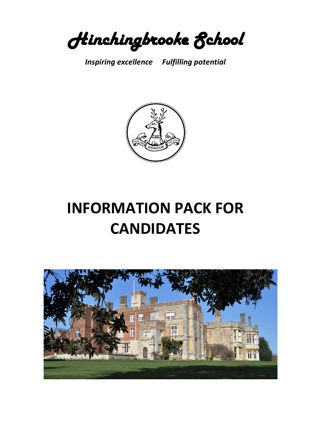Hinchingbrooke School

*Inspiring excellence Fulfilling potential*



# **INFORMATION PACK FOR CANDIDATES**

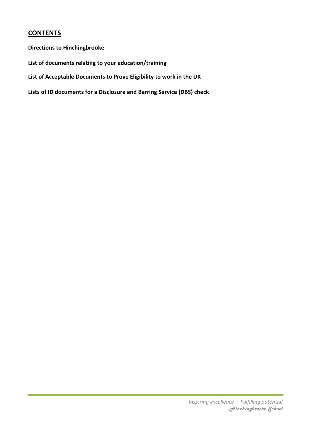# **CONTENTS**

**Directions to Hinchingbrooke**

**List of documents relating to your education/training**

**List of Acceptable Documents to Prove Eligibility to work in the UK**

**Lists of ID documents for a Disclosure and Barring Service (DBS) check**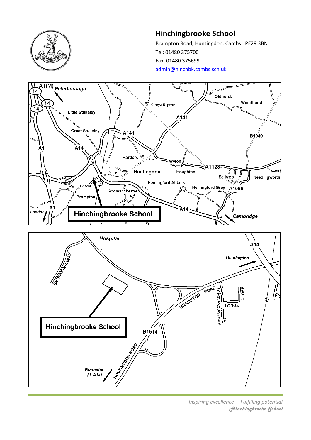

# **Hinchingbrooke School**

Brampton Road, Huntingdon, Cambs. PE29 3BN Tel: 01480 375700 Fax: 01480 375699 [admin@hinchbk.cambs.sch.uk](mailto:admin@hinchbk.cambs.sch.uk)



*Inspiring excellence Fulfilling potential* Hinchingbrooke School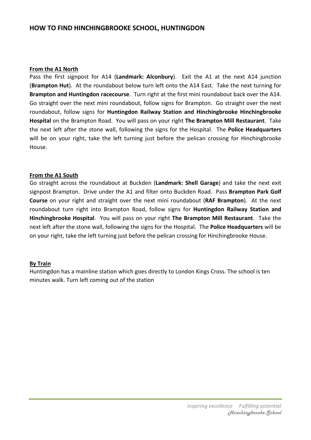# **HOW TO FIND HINCHINGBROOKE SCHOOL, HUNTINGDON**

#### **From the A1 North**

Pass the first signpost for A14 (**Landmark: Alconbury**). Exit the A1 at the next A14 junction (**Brampton Hut**). At the roundabout below turn left onto the A14 East. Take the next turning for **Brampton and Huntingdon racecourse**. Turn right at the first mini roundabout back over the A14. Go straight over the next mini roundabout, follow signs for Brampton. Go straight over the next roundabout, follow signs for **Huntingdon Railway Station and Hinchingbrooke Hinchingbrooke Hospital** on the Brampton Road. You will pass on your right **The Brampton Mill Restaurant**. Take the next left after the stone wall, following the signs for the Hospital. The **Police Headquarters** will be on your right, take the left turning just before the pelican crossing for Hinchingbrooke House.

#### **From the A1 South**

Go straight across the roundabout at Buckden (**Landmark: Shell Garage**) and take the next exit signpost Brampton. Drive under the A1 and filter onto Buckden Road. Pass **Brampton Park Golf Course** on your right and straight over the next mini roundabout (**RAF Brampton**). At the next roundabout turn right into Brampton Road, follow signs for **Huntingdon Railway Station and Hinchingbrooke Hospital**. You will pass on your right **The Brampton Mill Restaurant**. Take the next left after the stone wall, following the signs for the Hospital. The **Police Headquarters** will be on your right, take the left turning just before the pelican crossing for Hinchingbrooke House.

#### **By Train**

Huntingdon has a mainline station which goes directly to London Kings Cross. The school is ten minutes walk. Turn left coming out of the station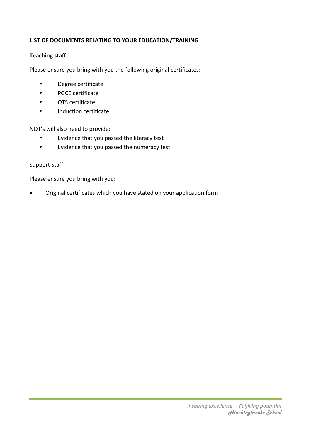# **LIST OF DOCUMENTS RELATING TO YOUR EDUCATION/TRAINING**

# **Teaching staff**

Please ensure you bring with you the following original certificates:

- Degree certificate
- PGCE certificate
- QTS certificate
- Induction certificate

NQT's will also need to provide:

- Evidence that you passed the literacy test
- Evidence that you passed the numeracy test

## Support Staff

Please ensure you bring with you:

• Original certificates which you have stated on your application form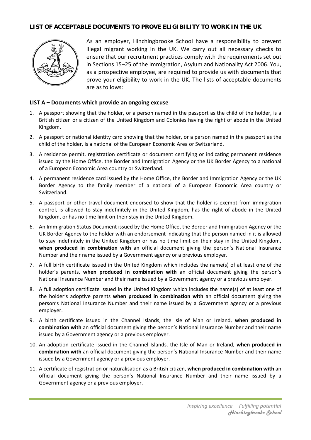## **LIST OF ACCEPTABLE DOCUMENTS TO PROVE ELIGIBILITY TO WORK IN THE UK**



As an employer, Hinchingbrooke School have a responsibility to prevent illegal migrant working in the UK. We carry out all necessary checks to ensure that our recruitment practices comply with the requirements set out in Sections 15–25 of the Immigration, Asylum and Nationality Act 2006. You, as a prospective employee, are required to provide us with documents that prove your eligibility to work in the UK. The lists of acceptable documents are as follows:

#### **LIST A – Documents which provide an ongoing excuse**

- 1. A passport showing that the holder, or a person named in the passport as the child of the holder, is a British citizen or a citizen of the United Kingdom and Colonies having the right of abode in the United Kingdom.
- 2. A passport or national identity card showing that the holder, or a person named in the passport as the child of the holder, is a national of the European Economic Area or Switzerland.
- 3. A residence permit, registration certificate or document certifying or indicating permanent residence issued by the Home Office, the Border and Immigration Agency or the UK Border Agency to a national of a European Economic Area country or Switzerland.
- 4. A permanent residence card issued by the Home Office, the Border and Immigration Agency or the UK Border Agency to the family member of a national of a European Economic Area country or Switzerland.
- 5. A passport or other travel document endorsed to show that the holder is exempt from immigration control, is allowed to stay indefinitely in the United Kingdom, has the right of abode in the United Kingdom, or has no time limit on their stay in the United Kingdom.
- 6. An Immigration Status Document issued by the Home Office, the Border and Immigration Agency or the UK Border Agency to the holder with an endorsement indicating that the person named in it is allowed to stay indefinitely in the United Kingdom or has no time limit on their stay in the United Kingdom, **when produced in combination with** an official document giving the person's National Insurance Number and their name issued by a Government agency or a previous employer.
- 7. A full birth certificate issued in the United Kingdom which includes the name(s) of at least one of the holder's parents, **when produced in combination with** an official document giving the person's National Insurance Number and their name issued by a Government agency or a previous employer.
- 8. A full adoption certificate issued in the United Kingdom which includes the name(s) of at least one of the holder's adoptive parents **when produced in combination with** an official document giving the person's National Insurance Number and their name issued by a Government agency or a previous employer.
- 9. A birth certificate issued in the Channel Islands, the Isle of Man or Ireland, **when produced in combination with** an official document giving the person's National Insurance Number and their name issued by a Government agency or a previous employer.
- 10. An adoption certificate issued in the Channel Islands, the Isle of Man or Ireland, **when produced in combination with** an official document giving the person's National Insurance Number and their name issued by a Government agency or a previous employer.
- 11. A certificate of registration or naturalisation as a British citizen, **when produced in combination with** an official document giving the person's National Insurance Number and their name issued by a Government agency or a previous employer.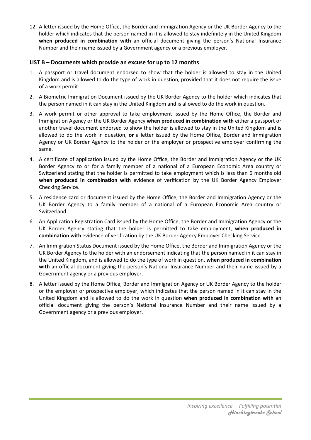12. A letter issued by the Home Office, the Border and Immigration Agency or the UK Border Agency to the holder which indicates that the person named in it is allowed to stay indefinitely in the United Kingdom **when produced in combination with** an official document giving the person's National Insurance Number and their name issued by a Government agency or a previous employer.

#### **LIST B – Documents which provide an excuse for up to 12 months**

- 1. A passport or travel document endorsed to show that the holder is allowed to stay in the United Kingdom and is allowed to do the type of work in question, provided that it does not require the issue of a work permit.
- 2. A Biometric Immigration Document issued by the UK Border Agency to the holder which indicates that the person named in it can stay in the United Kingdom and is allowed to do the work in question.
- 3. A work permit or other approval to take employment issued by the Home Office, the Border and Immigration Agency or the UK Border Agency **when produced in combination with** either a passport or another travel document endorsed to show the holder is allowed to stay in the United Kingdom and is allowed to do the work in question, **or** a letter issued by the Home Office, Border and Immigration Agency or UK Border Agency to the holder or the employer or prospective employer confirming the same.
- 4. A certificate of application issued by the Home Office, the Border and Immigration Agency or the UK Border Agency to or for a family member of a national of a European Economic Area country or Switzerland stating that the holder is permitted to take employment which is less than 6 months old **when produced in combination with** evidence of verification by the UK Border Agency Employer Checking Service.
- 5. A residence card or document issued by the Home Office, the Border and Immigration Agency or the UK Border Agency to a family member of a national of a European Economic Area country or Switzerland.
- 6. An Application Registration Card issued by the Home Office, the Border and Immigration Agency or the UK Border Agency stating that the holder is permitted to take employment, **when produced in combination with** evidence of verification by the UK Border Agency Employer Checking Service.
- 7. An Immigration Status Document issued by the Home Office, the Border and Immigration Agency or the UK Border Agency to the holder with an endorsement indicating that the person named in it can stay in the United Kingdom, and is allowed to do the type of work in question, **when produced in combination with** an official document giving the person's National Insurance Number and their name issued by a Government agency or a previous employer.
- 8. A letter issued by the Home Office, Border and Immigration Agency or UK Border Agency to the holder or the employer or prospective employer, which indicates that the person named in it can stay in the United Kingdom and is allowed to do the work in question **when produced in combination with** an official document giving the person's National Insurance Number and their name issued by a Government agency or a previous employer.